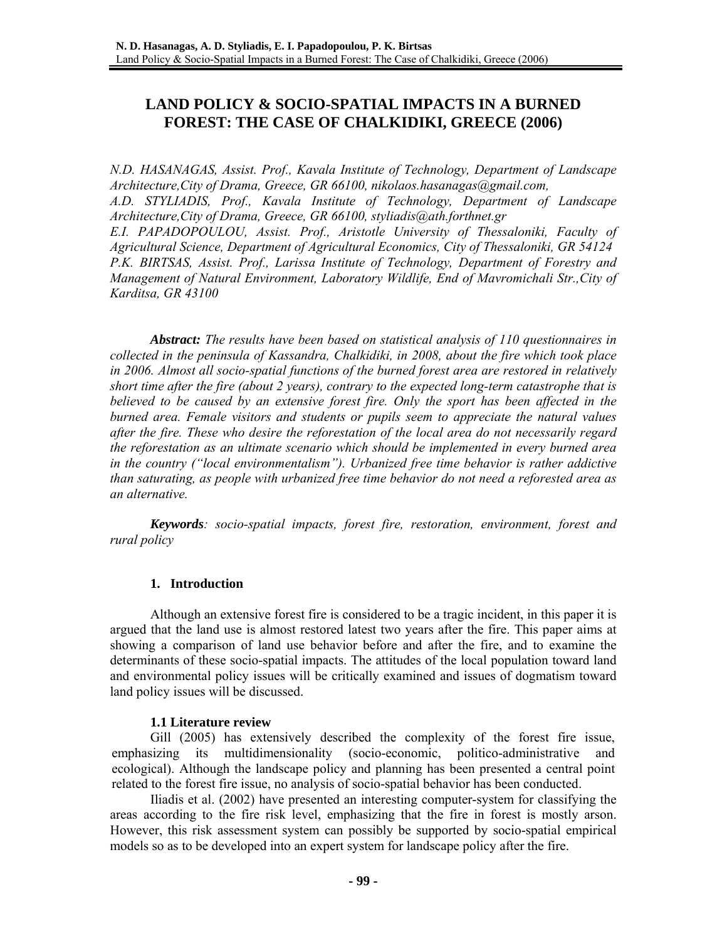# **LAND POLICY & SOCIO-SPATIAL IMPACTS IN A BURNED FOREST: THE CASE OF CHALKIDIKI, GREECE (2006)**

*N.D. HASANAGAS, Assist. Prof., Kavala Institute of Technology, Department of Landscape Architecture,City of Drama, Greece, GR 66100, nikolaos.hasanagas@gmail.com, A.D. STYLIADIS, Prof., Kavala Institute of Technology, Department of Landscape Architecture,City of Drama, Greece, GR 66100, styliadis@ath.forthnet.gr E.I. PAPADOPOULOU, Assist. Prof., Aristotle University of Thessaloniki, Faculty of Agricultural Science, Department of Agricultural Economics, City of Thessaloniki, GR 54124 P.K. BIRTSAS, Assist. Prof., Larissa Institute of Technology, Department of Forestry and Management of Natural Environment, Laboratory Wildlife, End of Mavromichali Str.,City of Karditsa, GR 43100*

*Abstract: The results have been based on statistical analysis of 110 questionnaires in collected in the peninsula of Kassandra, Chalkidiki, in 2008, about the fire which took place in 2006. Almost all socio-spatial functions of the burned forest area are restored in relatively short time after the fire (about 2 years), contrary to the expected long-term catastrophe that is believed to be caused by an extensive forest fire. Only the sport has been affected in the burned area. Female visitors and students or pupils seem to appreciate the natural values after the fire. These who desire the reforestation of the local area do not necessarily regard the reforestation as an ultimate scenario which should be implemented in every burned area in the country ("local environmentalism"). Urbanized free time behavior is rather addictive than saturating, as people with urbanized free time behavior do not need a reforested area as an alternative.* 

*Keywords: socio-spatial impacts, forest fire, restoration, environment, forest and rural policy* 

### **1. Introduction**

Although an extensive forest fire is considered to be a tragic incident, in this paper it is argued that the land use is almost restored latest two years after the fire. This paper aims at showing a comparison of land use behavior before and after the fire, and to examine the determinants of these socio-spatial impacts. The attitudes of the local population toward land and environmental policy issues will be critically examined and issues of dogmatism toward land policy issues will be discussed.

# **1.1 Literature review**

Gill (2005) has extensively described the complexity of the forest fire issue, emphasizing its multidimensionality (socio-economic, politico-administrative and ecological). Although the landscape policy and planning has been presented a central point related to the forest fire issue, no analysis of socio-spatial behavior has been conducted.

Iliadis et al. (2002) have presented an interesting computer-system for classifying the areas according to the fire risk level, emphasizing that the fire in forest is mostly arson. However, this risk assessment system can possibly be supported by socio-spatial empirical models so as to be developed into an expert system for landscape policy after the fire.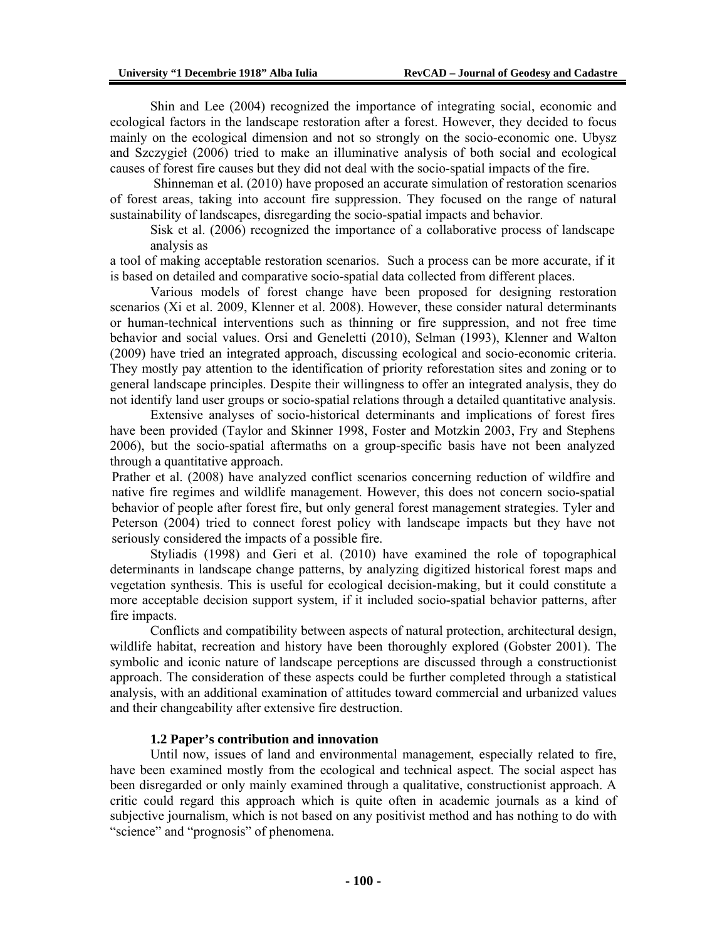Shin and Lee (2004) recognized the importance of integrating social, economic and ecological factors in the landscape restoration after a forest. However, they decided to focus mainly on the ecological dimension and not so strongly on the socio-economic one. Ubysz and Szczygieł (2006) tried to make an illuminative analysis of both social and ecological causes of forest fire causes but they did not deal with the socio-spatial impacts of the fire.

 Shinneman et al. (2010) have proposed an accurate simulation of restoration scenarios of forest areas, taking into account fire suppression. They focused on the range of natural sustainability of landscapes, disregarding the socio-spatial impacts and behavior.

Sisk et al. (2006) recognized the importance of a collaborative process of landscape analysis as

a tool of making acceptable restoration scenarios. Such a process can be more accurate, if it is based on detailed and comparative socio-spatial data collected from different places.

Various models of forest change have been proposed for designing restoration scenarios (Xi et al. 2009, Klenner et al. 2008). However, these consider natural determinants or human-technical interventions such as thinning or fire suppression, and not free time behavior and social values. Orsi and Geneletti (2010), Selman (1993), Klenner and Walton (2009) have tried an integrated approach, discussing ecological and socio-economic criteria. They mostly pay attention to the identification of priority reforestation sites and zoning or to general landscape principles. Despite their willingness to offer an integrated analysis, they do not identify land user groups or socio-spatial relations through a detailed quantitative analysis.

Extensive analyses of socio-historical determinants and implications of forest fires have been provided (Taylor and Skinner 1998, Foster and Motzkin 2003, Fry and Stephens 2006), but the socio-spatial aftermaths on a group-specific basis have not been analyzed through a quantitative approach.

Prather et al. (2008) have analyzed conflict scenarios concerning reduction of wildfire and native fire regimes and wildlife management. However, this does not concern socio-spatial behavior of people after forest fire, but only general forest management strategies. Tyler and Peterson (2004) tried to connect forest policy with landscape impacts but they have not seriously considered the impacts of a possible fire.

Styliadis (1998) and Geri et al. (2010) have examined the role of topographical determinants in landscape change patterns, by analyzing digitized historical forest maps and vegetation synthesis. This is useful for ecological decision-making, but it could constitute a more acceptable decision support system, if it included socio-spatial behavior patterns, after fire impacts.

Conflicts and compatibility between aspects of natural protection, architectural design, wildlife habitat, recreation and history have been thoroughly explored (Gobster 2001). The symbolic and iconic nature of landscape perceptions are discussed through a constructionist approach. The consideration of these aspects could be further completed through a statistical analysis, with an additional examination of attitudes toward commercial and urbanized values and their changeability after extensive fire destruction.

#### **1.2 Paper's contribution and innovation**

Until now, issues of land and environmental management, especially related to fire, have been examined mostly from the ecological and technical aspect. The social aspect has been disregarded or only mainly examined through a qualitative, constructionist approach. A critic could regard this approach which is quite often in academic journals as a kind of subjective journalism, which is not based on any positivist method and has nothing to do with "science" and "prognosis" of phenomena.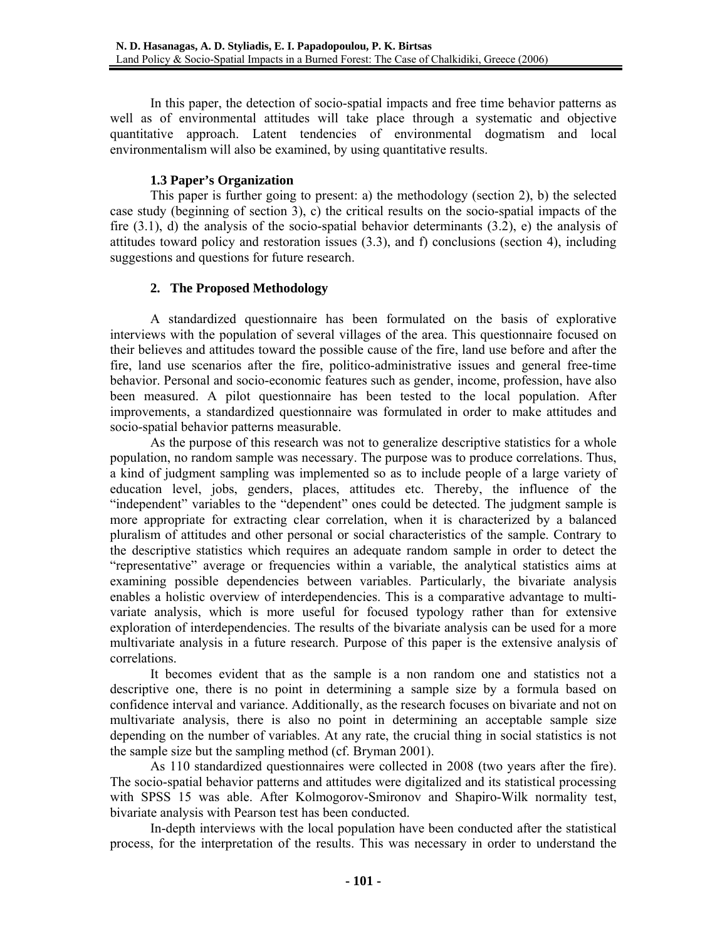In this paper, the detection of socio-spatial impacts and free time behavior patterns as well as of environmental attitudes will take place through a systematic and objective quantitative approach. Latent tendencies of environmental dogmatism and local environmentalism will also be examined, by using quantitative results.

# **1.3 Paper's Organization**

This paper is further going to present: a) the methodology (section 2), b) the selected case study (beginning of section 3), c) the critical results on the socio-spatial impacts of the fire (3.1), d) the analysis of the socio-spatial behavior determinants (3.2), e) the analysis of attitudes toward policy and restoration issues (3.3), and f) conclusions (section 4), including suggestions and questions for future research.

# **2. The Proposed Methodology**

A standardized questionnaire has been formulated on the basis of explorative interviews with the population of several villages of the area. This questionnaire focused on their believes and attitudes toward the possible cause of the fire, land use before and after the fire, land use scenarios after the fire, politico-administrative issues and general free-time behavior. Personal and socio-economic features such as gender, income, profession, have also been measured. A pilot questionnaire has been tested to the local population. After improvements, a standardized questionnaire was formulated in order to make attitudes and socio-spatial behavior patterns measurable.

As the purpose of this research was not to generalize descriptive statistics for a whole population, no random sample was necessary. The purpose was to produce correlations. Thus, a kind of judgment sampling was implemented so as to include people of a large variety of education level, jobs, genders, places, attitudes etc. Thereby, the influence of the "independent" variables to the "dependent" ones could be detected. The judgment sample is more appropriate for extracting clear correlation, when it is characterized by a balanced pluralism of attitudes and other personal or social characteristics of the sample. Contrary to the descriptive statistics which requires an adequate random sample in order to detect the "representative" average or frequencies within a variable, the analytical statistics aims at examining possible dependencies between variables. Particularly, the bivariate analysis enables a holistic overview of interdependencies. This is a comparative advantage to multivariate analysis, which is more useful for focused typology rather than for extensive exploration of interdependencies. The results of the bivariate analysis can be used for a more multivariate analysis in a future research. Purpose of this paper is the extensive analysis of correlations.

It becomes evident that as the sample is a non random one and statistics not a descriptive one, there is no point in determining a sample size by a formula based on confidence interval and variance. Additionally, as the research focuses on bivariate and not on multivariate analysis, there is also no point in determining an acceptable sample size depending on the number of variables. At any rate, the crucial thing in social statistics is not the sample size but the sampling method (cf. Bryman 2001).

As 110 standardized questionnaires were collected in 2008 (two years after the fire). The socio-spatial behavior patterns and attitudes were digitalized and its statistical processing with SPSS 15 was able. After Kolmogorov-Smironov and Shapiro-Wilk normality test, bivariate analysis with Pearson test has been conducted.

In-depth interviews with the local population have been conducted after the statistical process, for the interpretation of the results. This was necessary in order to understand the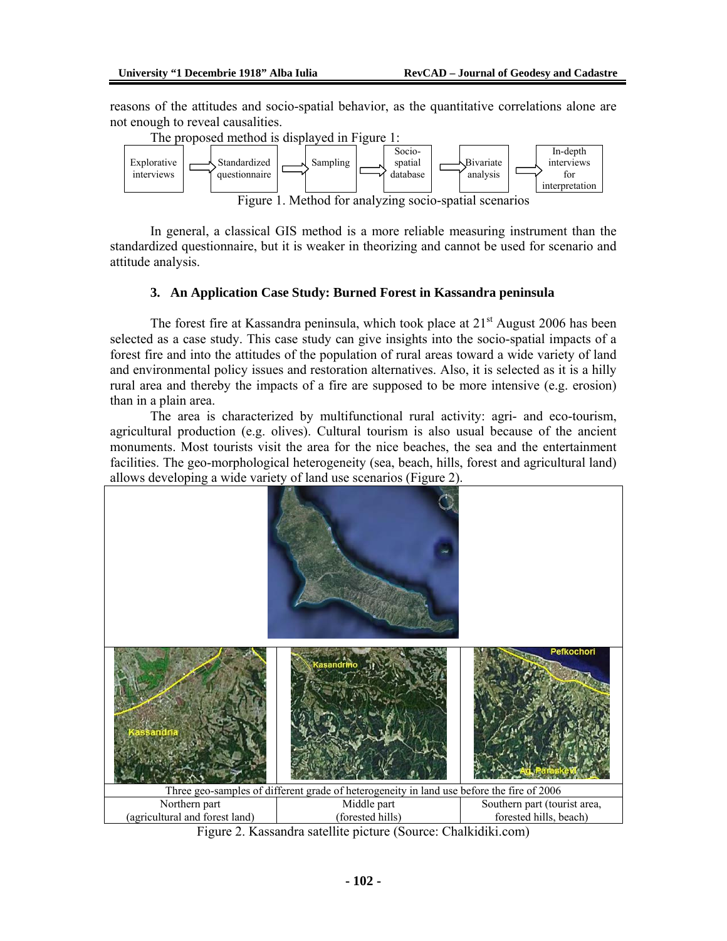reasons of the attitudes and socio-spatial behavior, as the quantitative correlations alone are not enough to reveal causalities.



In general, a classical GIS method is a more reliable measuring instrument than the standardized questionnaire, but it is weaker in theorizing and cannot be used for scenario and attitude analysis.

# **3. An Application Case Study: Burned Forest in Kassandra peninsula**

The forest fire at Kassandra peninsula, which took place at  $21<sup>st</sup>$  August 2006 has been selected as a case study. This case study can give insights into the socio-spatial impacts of a forest fire and into the attitudes of the population of rural areas toward a wide variety of land and environmental policy issues and restoration alternatives. Also, it is selected as it is a hilly rural area and thereby the impacts of a fire are supposed to be more intensive (e.g. erosion) than in a plain area.

The area is characterized by multifunctional rural activity: agri- and eco-tourism, agricultural production (e.g. olives). Cultural tourism is also usual because of the ancient monuments. Most tourists visit the area for the nice beaches, the sea and the entertainment facilities. The geo-morphological heterogeneity (sea, beach, hills, forest and agricultural land) allows developing a wide variety of land use scenarios (Figure 2).



Figure 2. Kassandra satellite picture (Source: Chalkidiki.com)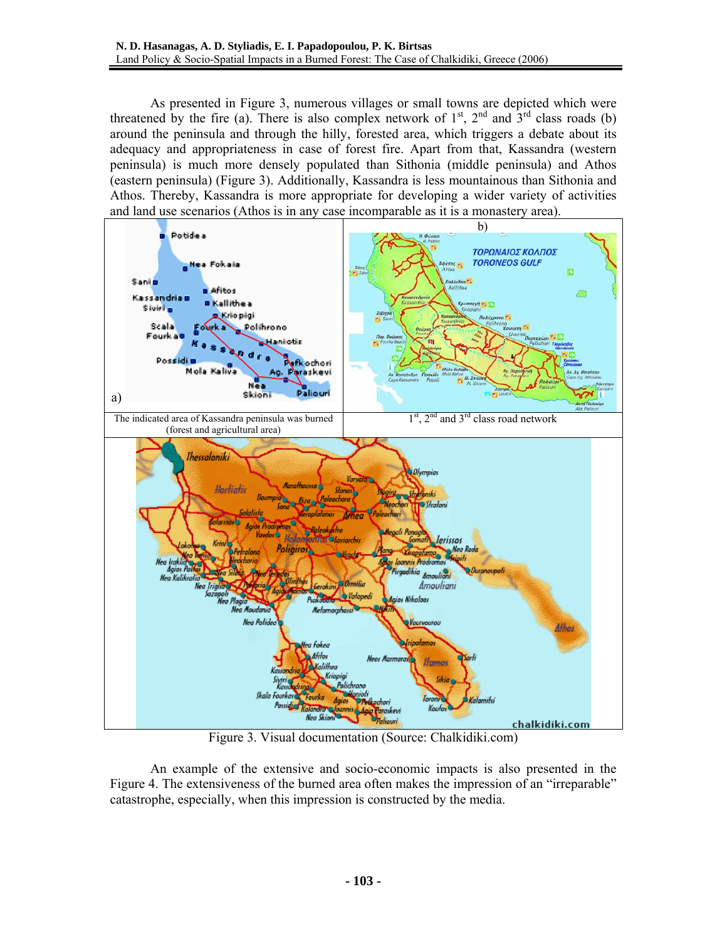As presented in Figure 3, numerous villages or small towns are depicted which were threatened by the fire (a). There is also complex network of  $1<sup>st</sup>$ ,  $2<sup>nd</sup>$  and  $3<sup>rd</sup>$  class roads (b) around the peninsula and through the hilly, forested area, which triggers a debate about its adequacy and appropriateness in case of forest fire. Apart from that, Kassandra (western peninsula) is much more densely populated than Sithonia (middle peninsula) and Athos (eastern peninsula) (Figure 3). Additionally, Kassandra is less mountainous than Sithonia and Athos. Thereby, Kassandra is more appropriate for developing a wider variety of activities and land use scenarios (Athos is in any case incomparable as it is a monastery area).



Figure 3. Visual documentation (Source: Chalkidiki.com)

An example of the extensive and socio-economic impacts is also presented in the Figure 4. The extensiveness of the burned area often makes the impression of an "irreparable" catastrophe, especially, when this impression is constructed by the media.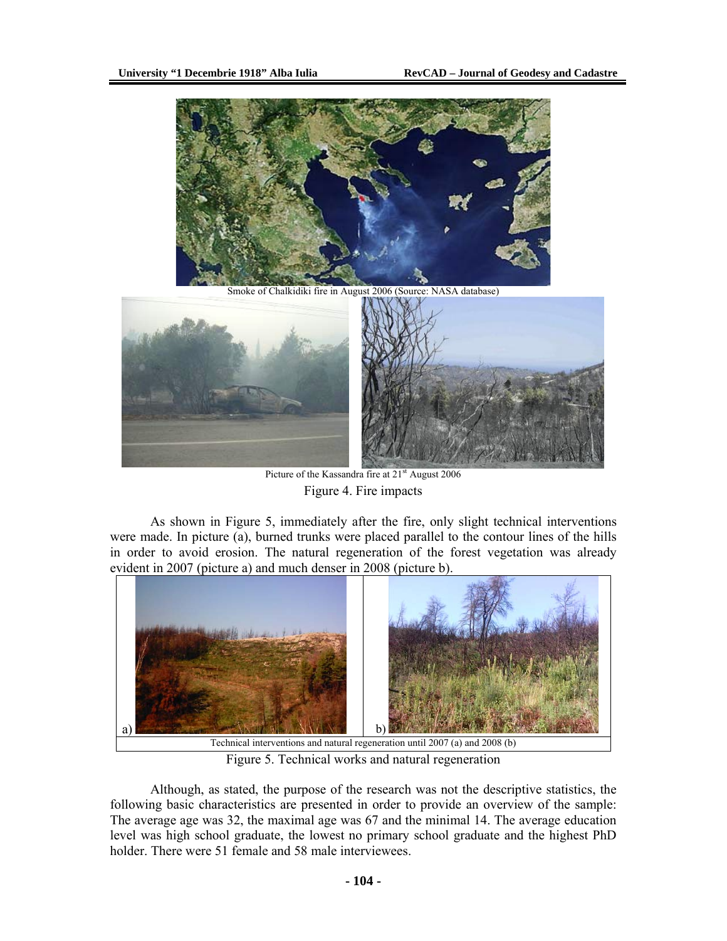

Picture of the Kassandra fire at 21<sup>st</sup> August 2006 Figure 4. Fire impacts

As shown in Figure 5, immediately after the fire, only slight technical interventions were made. In picture (a), burned trunks were placed parallel to the contour lines of the hills in order to avoid erosion. The natural regeneration of the forest vegetation was already evident in 2007 (picture a) and much denser in 2008 (picture b).



Figure 5. Technical works and natural regeneration

Although, as stated, the purpose of the research was not the descriptive statistics, the following basic characteristics are presented in order to provide an overview of the sample: The average age was 32, the maximal age was 67 and the minimal 14. The average education level was high school graduate, the lowest no primary school graduate and the highest PhD holder. There were 51 female and 58 male interviewees.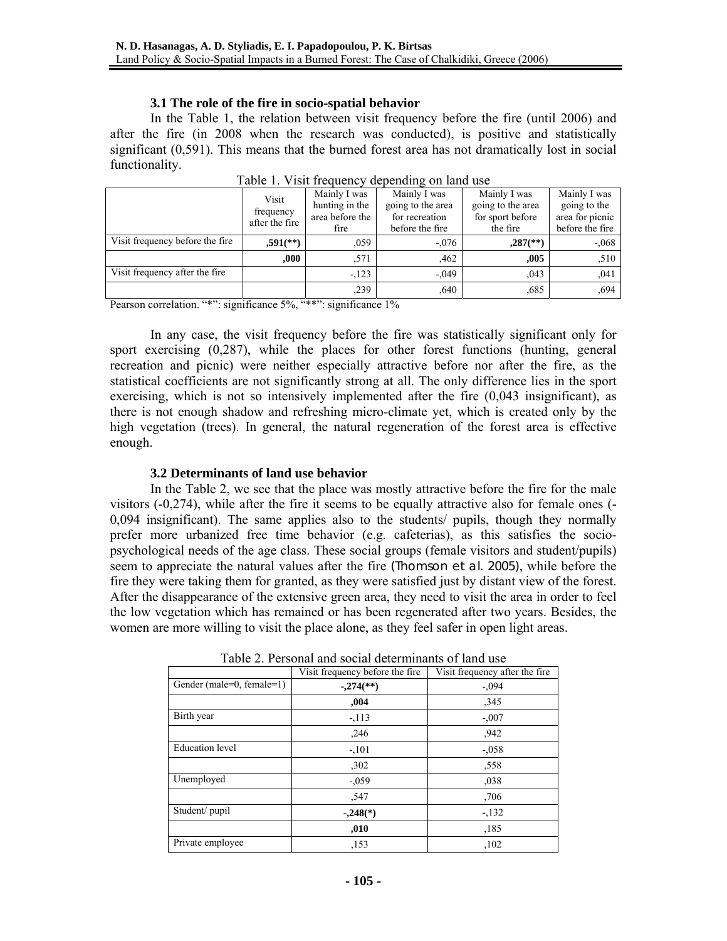#### **3.1 The role of the fire in socio-spatial behavior**

In the Table 1, the relation between visit frequency before the fire (until 2006) and after the fire (in 2008 when the research was conducted), is positive and statistically significant (0,591). This means that the burned forest area has not dramatically lost in social functionality.

|                                 | Visit                       | Mainly I was    | Mainly I was      | Mainly I was             | Mainly I was    |
|---------------------------------|-----------------------------|-----------------|-------------------|--------------------------|-----------------|
|                                 |                             | hunting in the  | going to the area | going to the area        | going to the    |
|                                 | frequency<br>after the fire | area before the | for recreation    | for sport before         | area for picnic |
|                                 |                             | fire            | before the fire   | the fire                 | before the fire |
| Visit frequency before the fire | $,591$ <sup>(**)</sup>      | .059            | $-.076$           | $,287$ <sup>(**)</sup> ) | $-.068$         |
|                                 | .000.                       | .571            | .462              | .005                     | ,510            |
| Visit frequency after the fire  |                             | $-123$          | $-.049$           | ,043                     | .041            |
|                                 |                             | ,239            | .640              | ,685                     | ,694            |

Table 1. Visit frequency depending on land use

Pearson correlation. "\*": significance 5%, "\*\*": significance 1%

In any case, the visit frequency before the fire was statistically significant only for sport exercising (0,287), while the places for other forest functions (hunting, general recreation and picnic) were neither especially attractive before nor after the fire, as the statistical coefficients are not significantly strong at all. The only difference lies in the sport exercising, which is not so intensively implemented after the fire  $(0.043$  insignificant), as there is not enough shadow and refreshing micro-climate yet, which is created only by the high vegetation (trees). In general, the natural regeneration of the forest area is effective enough.

### **3.2 Determinants of land use behavior**

In the Table 2, we see that the place was mostly attractive before the fire for the male visitors (-0,274), while after the fire it seems to be equally attractive also for female ones (- 0,094 insignificant). The same applies also to the students/ pupils, though they normally prefer more urbanized free time behavior (e.g. cafeterias), as this satisfies the sociopsychological needs of the age class. These social groups (female visitors and student/pupils) seem to appreciate the natural values after the fire (Thomson et al. 2005), while before the fire they were taking them for granted, as they were satisfied just by distant view of the forest. After the disappearance of the extensive green area, they need to visit the area in order to feel the low vegetation which has remained or has been regenerated after two years. Besides, the women are more willing to visit the place alone, as they feel safer in open light areas.

| Tuble 2. I choonal and social determination of faily asc |                                 |                                |  |  |  |
|----------------------------------------------------------|---------------------------------|--------------------------------|--|--|--|
|                                                          | Visit frequency before the fire | Visit frequency after the fire |  |  |  |
| Gender (male=0, female=1)                                | $-.274$ <sup>(**)</sup>         | $-.094$                        |  |  |  |
|                                                          | ,004                            | ,345                           |  |  |  |
| Birth year                                               | $-113$                          | $-.007$                        |  |  |  |
|                                                          | ,246                            | ,942                           |  |  |  |
| <b>Education</b> level                                   | $-.101$                         | $-.058$                        |  |  |  |
|                                                          | ,302                            | ,558                           |  |  |  |
| Unemployed                                               | $-.059$                         | ,038                           |  |  |  |
|                                                          | ,547                            | ,706                           |  |  |  |
| Student/pupil                                            | $-.248(*)$                      | $-132$                         |  |  |  |
|                                                          | ,010                            | ,185                           |  |  |  |
| Private employee                                         | ,153                            | ,102                           |  |  |  |

Table 2. Personal and social determinants of land use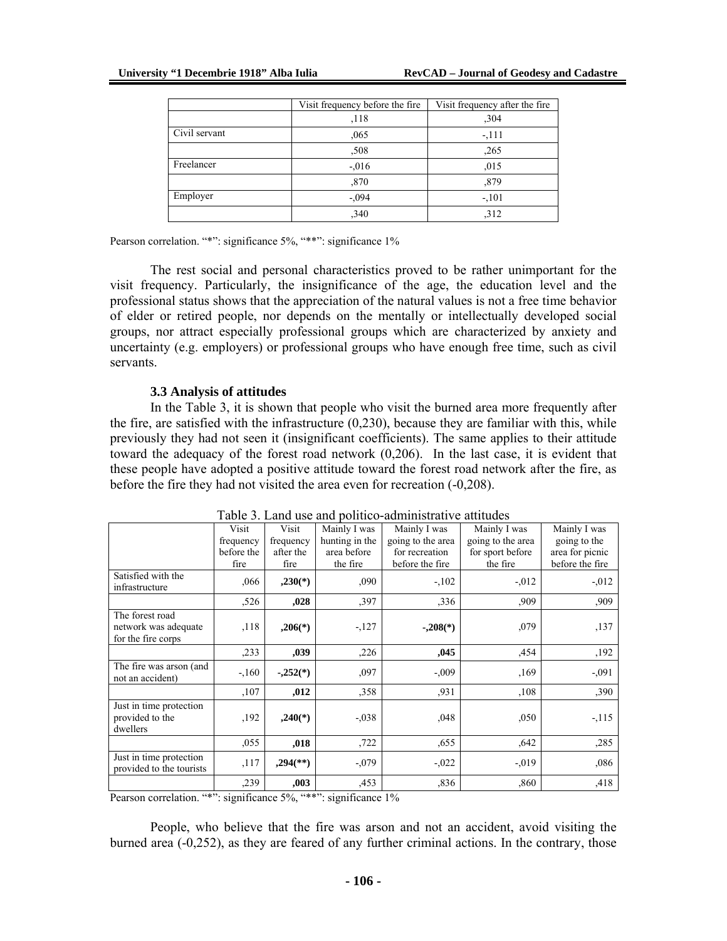|               | Visit frequency before the fire | Visit frequency after the fire |
|---------------|---------------------------------|--------------------------------|
|               | ,118                            | ,304                           |
| Civil servant | ,065                            | $-111$                         |
|               | ,508                            | ,265                           |
| Freelancer    | $-.016$                         | ,015                           |
|               | ,870                            | ,879                           |
| Employer      | $-.094$                         | $-.101$                        |
|               | ,340                            | .312                           |

Pearson correlation. "\*": significance 5%, "\*\*": significance 1%

The rest social and personal characteristics proved to be rather unimportant for the visit frequency. Particularly, the insignificance of the age, the education level and the professional status shows that the appreciation of the natural values is not a free time behavior of elder or retired people, nor depends on the mentally or intellectually developed social groups, nor attract especially professional groups which are characterized by anxiety and uncertainty (e.g. employers) or professional groups who have enough free time, such as civil servants.

#### **3.3 Analysis of attitudes**

In the Table 3, it is shown that people who visit the burned area more frequently after the fire, are satisfied with the infrastructure (0,230), because they are familiar with this, while previously they had not seen it (insignificant coefficients). The same applies to their attitude toward the adequacy of the forest road network (0,206). In the last case, it is evident that these people have adopted a positive attitude toward the forest road network after the fire, as before the fire they had not visited the area even for recreation (-0,208).

| 1401                     |            |                          |                |                   |                   |                 |
|--------------------------|------------|--------------------------|----------------|-------------------|-------------------|-----------------|
|                          | Visit      | Visit                    | Mainly I was   | Mainly I was      | Mainly I was      | Mainly I was    |
|                          | frequency  | frequency                | hunting in the | going to the area | going to the area | going to the    |
|                          | before the | after the                | area before    | for recreation    | for sport before  | area for picnic |
|                          | fire       | fire                     | the fire       | before the fire   | the fire          | before the fire |
| Satisfied with the       | ,066       | $,230(*)$                | ,090           | $-.102$           | $-.012$           | $-0.012$        |
| infrastructure           |            |                          |                |                   |                   |                 |
|                          | ,526       | ,028                     | ,397           | ,336              | ,909              | ,909            |
| The forest road          |            |                          |                |                   |                   |                 |
| network was adequate     | ,118       | $,206(*)$                | $-127$         | $-.208(*)$        | ,079              | ,137            |
| for the fire corps       |            |                          |                |                   |                   |                 |
|                          | ,233       | ,039                     | ,226           | ,045              | ,454              | ,192            |
| The fire was arson (and  | $-160$     | $-.252(*)$               | ,097           | $-.009$           | ,169              | $-.091$         |
| not an accident)         |            |                          |                |                   |                   |                 |
|                          | ,107       | ,012                     | ,358           | ,931              | ,108              | ,390            |
| Just in time protection  |            |                          |                |                   |                   |                 |
| provided to the          | ,192       | $,240(*)$                | $-.038$        | ,048              | ,050              | $-115$          |
| dwellers                 |            |                          |                |                   |                   |                 |
|                          | ,055       | ,018                     | ,722           | ,655              | .642              | ,285            |
| Just in time protection  | ,117       | $,294$ <sup>(**)</sup> ) | $-.079$        | $-0.022$          | $-0.019$          | ,086            |
| provided to the tourists |            |                          |                |                   |                   |                 |
|                          | ,239       | ,003                     | ,453           | ,836              | ,860              | ,418            |

Table 3. Land use and politico-administrative attitudes

Pearson correlation. "\*": significance 5%, "\*\*": significance 1%

People, who believe that the fire was arson and not an accident, avoid visiting the burned area (-0,252), as they are feared of any further criminal actions. In the contrary, those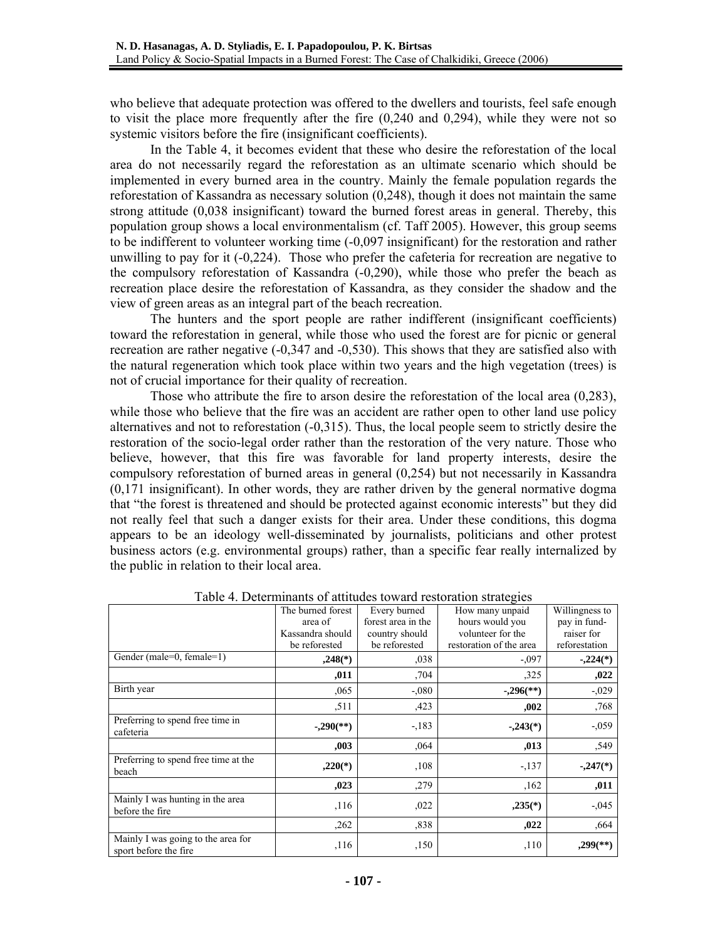who believe that adequate protection was offered to the dwellers and tourists, feel safe enough to visit the place more frequently after the fire (0,240 and 0,294), while they were not so systemic visitors before the fire (insignificant coefficients).

In the Table 4, it becomes evident that these who desire the reforestation of the local area do not necessarily regard the reforestation as an ultimate scenario which should be implemented in every burned area in the country. Mainly the female population regards the reforestation of Kassandra as necessary solution (0,248), though it does not maintain the same strong attitude (0,038 insignificant) toward the burned forest areas in general. Thereby, this population group shows a local environmentalism (cf. Taff 2005). However, this group seems to be indifferent to volunteer working time (-0,097 insignificant) for the restoration and rather unwilling to pay for it (-0,224). Those who prefer the cafeteria for recreation are negative to the compulsory reforestation of Kassandra (-0,290), while those who prefer the beach as recreation place desire the reforestation of Kassandra, as they consider the shadow and the view of green areas as an integral part of the beach recreation.

The hunters and the sport people are rather indifferent (insignificant coefficients) toward the reforestation in general, while those who used the forest are for picnic or general recreation are rather negative (-0,347 and -0,530). This shows that they are satisfied also with the natural regeneration which took place within two years and the high vegetation (trees) is not of crucial importance for their quality of recreation.

Those who attribute the fire to arson desire the reforestation of the local area (0,283), while those who believe that the fire was an accident are rather open to other land use policy alternatives and not to reforestation (-0,315). Thus, the local people seem to strictly desire the restoration of the socio-legal order rather than the restoration of the very nature. Those who believe, however, that this fire was favorable for land property interests, desire the compulsory reforestation of burned areas in general (0,254) but not necessarily in Kassandra (0,171 insignificant). In other words, they are rather driven by the general normative dogma that "the forest is threatened and should be protected against economic interests" but they did not really feel that such a danger exists for their area. Under these conditions, this dogma appears to be an ideology well-disseminated by journalists, politicians and other protest business actors (e.g. environmental groups) rather, than a specific fear really internalized by the public in relation to their local area.

| Table 4. Determinants of attitudes toward restoration strategies |                           |                    |                         |                        |  |
|------------------------------------------------------------------|---------------------------|--------------------|-------------------------|------------------------|--|
|                                                                  | The burned forest         | Every burned       | How many unpaid         | Willingness to         |  |
|                                                                  | area of                   | forest area in the | hours would you         | pay in fund-           |  |
|                                                                  | Kassandra should          | country should     | volunteer for the       | raiser for             |  |
|                                                                  | be reforested             | be reforested      | restoration of the area | reforestation          |  |
| Gender (male=0, female=1)                                        | $,248$ <sup>(*)</sup> )   | 0.038              | $-.097$                 | $-.224(*)$             |  |
|                                                                  | ,011                      | ,704               | ,325                    | ,022                   |  |
| Birth year                                                       | ,065                      | $-.080$            | $-.296$ <sup>(**)</sup> | $-0.029$               |  |
|                                                                  | ,511                      | ,423               | ,002                    | ,768                   |  |
| Preferring to spend free time in<br>cafeteria                    | $-.290$ <sup>(**)</sup> ) | $-183$             | $-243(*)$               | $-0.059$               |  |
|                                                                  | ,003                      | ,064               | ,013                    | ,549                   |  |
| Preferring to spend free time at the<br>beach                    | $,220(*)$                 | ,108               | $-137$                  | $-.247(*)$             |  |
|                                                                  | ,023                      | ,279               | ,162                    | ,011                   |  |
| Mainly I was hunting in the area<br>before the fire              | ,116                      | ,022               | $,235(*)$               | $-0.045$               |  |
|                                                                  | ,262                      | ,838               | ,022                    | ,664                   |  |
| Mainly I was going to the area for<br>sport before the fire      | ,116                      | ,150               | , 110                   | $,299$ <sup>(**)</sup> |  |

Table 4. Determinants of attitudes toward restoration strategies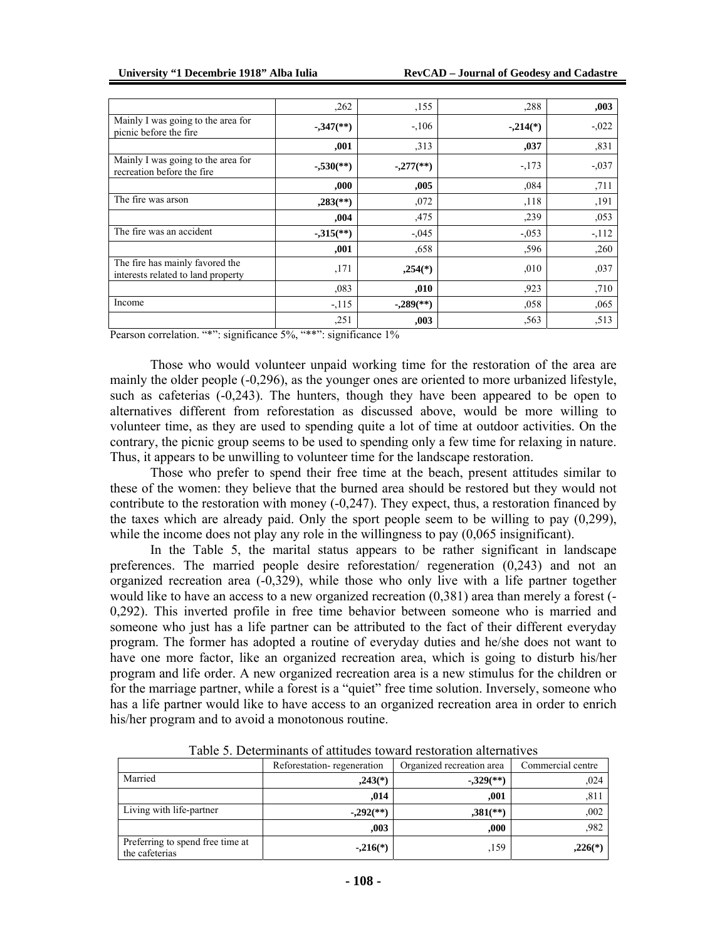|                                                                       | ,262                      | ,155                     | ,288       | ,003     |
|-----------------------------------------------------------------------|---------------------------|--------------------------|------------|----------|
| Mainly I was going to the area for<br>picnic before the fire          | $-347$ <sup>(**)</sup> )  | $-.106$                  | $-.214(*)$ | $-0.022$ |
|                                                                       | ,001                      | ,313                     | ,037       | ,831     |
| Mainly I was going to the area for<br>recreation before the fire      | $-.530$ <sup>(**)</sup> ) | $-277$ <sup>(**)</sup> ) | $-173$     | $-0.037$ |
|                                                                       | ,000                      | ,005                     | ,084       | ,711     |
| The fire was arson                                                    | $,283$ <sup>(**)</sup>    | ,072                     | ,118       | ,191     |
|                                                                       | ,004                      | ,475                     | ,239       | ,053     |
| The fire was an accident                                              | $-315$ <sup>**</sup> )    | $-.045$                  | $-.053$    | $-112$   |
|                                                                       | ,001                      | ,658                     | ,596       | ,260     |
| The fire has mainly favored the<br>interests related to land property | ,171                      | $,254$ <sup>(*)</sup> )  | ,010       | ,037     |
|                                                                       | ,083                      | ,010                     | ,923       | ,710     |
| Income                                                                | $-115$                    | $-.289$ <sup>(**)</sup>  | ,058       | ,065     |
|                                                                       | ,251                      | ,003                     | ,563       | ,513     |

Pearson correlation. "\*": significance 5%, "\*\*": significance 1%

Those who would volunteer unpaid working time for the restoration of the area are mainly the older people (-0,296), as the younger ones are oriented to more urbanized lifestyle, such as cafeterias (-0,243). The hunters, though they have been appeared to be open to alternatives different from reforestation as discussed above, would be more willing to volunteer time, as they are used to spending quite a lot of time at outdoor activities. On the contrary, the picnic group seems to be used to spending only a few time for relaxing in nature. Thus, it appears to be unwilling to volunteer time for the landscape restoration.

Those who prefer to spend their free time at the beach, present attitudes similar to these of the women: they believe that the burned area should be restored but they would not contribute to the restoration with money (-0,247). They expect, thus, a restoration financed by the taxes which are already paid. Only the sport people seem to be willing to pay (0,299), while the income does not play any role in the willingness to pay  $(0.065 \text{ insignificant})$ .

In the Table 5, the marital status appears to be rather significant in landscape preferences. The married people desire reforestation/ regeneration (0,243) and not an organized recreation area (-0,329), while those who only live with a life partner together would like to have an access to a new organized recreation (0,381) area than merely a forest (- 0,292). This inverted profile in free time behavior between someone who is married and someone who just has a life partner can be attributed to the fact of their different everyday program. The former has adopted a routine of everyday duties and he/she does not want to have one more factor, like an organized recreation area, which is going to disturb his/her program and life order. A new organized recreation area is a new stimulus for the children or for the marriage partner, while a forest is a "quiet" free time solution. Inversely, someone who has a life partner would like to have access to an organized recreation area in order to enrich his/her program and to avoid a monotonous routine.

|                                                    | Reforestation-regeneration | Organized recreation area | Commercial centre |
|----------------------------------------------------|----------------------------|---------------------------|-------------------|
| Married                                            | $,243(*)$                  | $-329$ <sup>(**)</sup>    | ,024              |
|                                                    | ,014                       | .001                      | ,811              |
| Living with life-partner                           | $-0.292$ <sup>(**)</sup>   | $,381$ <sup>(**)</sup> )  | ,002              |
|                                                    | ,003                       | .000                      | ,982              |
| Preferring to spend free time at<br>the cafeterias | $-216(*)$                  | ,159                      | $,226(*)$         |

Table 5. Determinants of attitudes toward restoration alternatives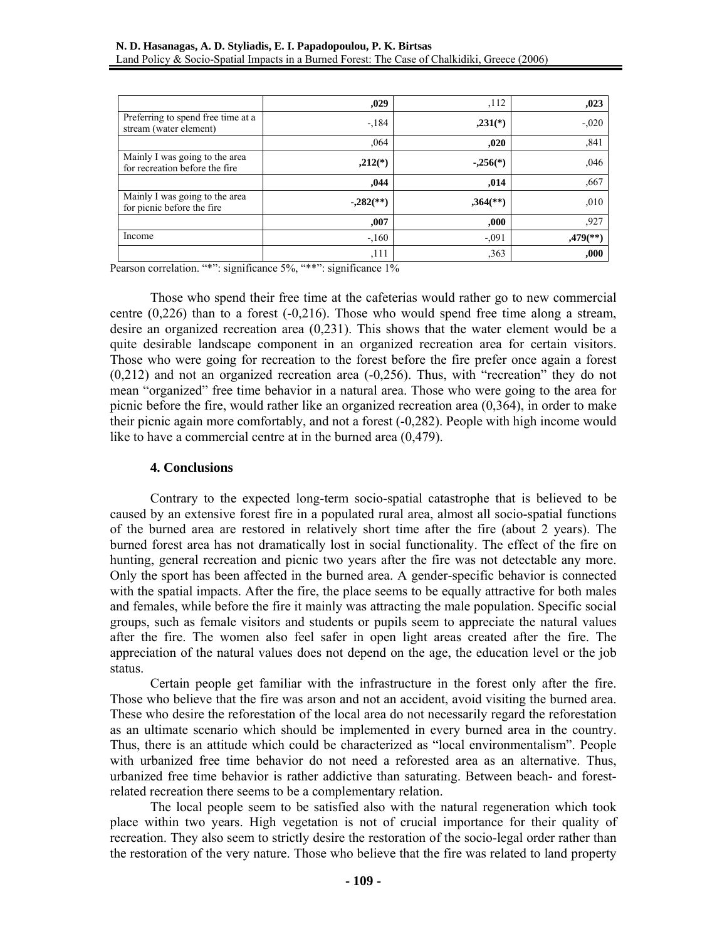|                                                                  | ,029                      | ,112                     | ,023                   |
|------------------------------------------------------------------|---------------------------|--------------------------|------------------------|
| Preferring to spend free time at a<br>stream (water element)     | $-184$                    | $,231(*)$                | $-0.020$               |
|                                                                  | ,064                      | ,020                     | ,841                   |
| Mainly I was going to the area<br>for recreation before the fire | $,212(*)$                 | $-.256(*)$               | ,046                   |
|                                                                  | ,044                      | ,014                     | ,667                   |
| Mainly I was going to the area<br>for picnic before the fire     | $-.282$ <sup>(**)</sup> ) | $,364$ <sup>(**)</sup> ) | ,010                   |
|                                                                  | ,007                      | ,000                     | ,927                   |
| Income                                                           | $-160$                    | $-.091$                  | $,479$ <sup>**</sup> ) |
|                                                                  | ,111                      | ,363                     | ,000                   |

Pearson correlation. "\*": significance 5%, "\*\*": significance 1%

Those who spend their free time at the cafeterias would rather go to new commercial centre (0,226) than to a forest (-0,216). Those who would spend free time along a stream, desire an organized recreation area (0,231). This shows that the water element would be a quite desirable landscape component in an organized recreation area for certain visitors. Those who were going for recreation to the forest before the fire prefer once again a forest  $(0,212)$  and not an organized recreation area  $(-0,256)$ . Thus, with "recreation" they do not mean "organized" free time behavior in a natural area. Those who were going to the area for picnic before the fire, would rather like an organized recreation area (0,364), in order to make their picnic again more comfortably, and not a forest (-0,282). People with high income would like to have a commercial centre at in the burned area  $(0.479)$ .

#### **4. Conclusions**

Contrary to the expected long-term socio-spatial catastrophe that is believed to be caused by an extensive forest fire in a populated rural area, almost all socio-spatial functions of the burned area are restored in relatively short time after the fire (about 2 years). The burned forest area has not dramatically lost in social functionality. The effect of the fire on hunting, general recreation and picnic two years after the fire was not detectable any more. Only the sport has been affected in the burned area. A gender-specific behavior is connected with the spatial impacts. After the fire, the place seems to be equally attractive for both males and females, while before the fire it mainly was attracting the male population. Specific social groups, such as female visitors and students or pupils seem to appreciate the natural values after the fire. The women also feel safer in open light areas created after the fire. The appreciation of the natural values does not depend on the age, the education level or the job status.

Certain people get familiar with the infrastructure in the forest only after the fire. Those who believe that the fire was arson and not an accident, avoid visiting the burned area. These who desire the reforestation of the local area do not necessarily regard the reforestation as an ultimate scenario which should be implemented in every burned area in the country. Thus, there is an attitude which could be characterized as "local environmentalism". People with urbanized free time behavior do not need a reforested area as an alternative. Thus, urbanized free time behavior is rather addictive than saturating. Between beach- and forestrelated recreation there seems to be a complementary relation.

The local people seem to be satisfied also with the natural regeneration which took place within two years. High vegetation is not of crucial importance for their quality of recreation. They also seem to strictly desire the restoration of the socio-legal order rather than the restoration of the very nature. Those who believe that the fire was related to land property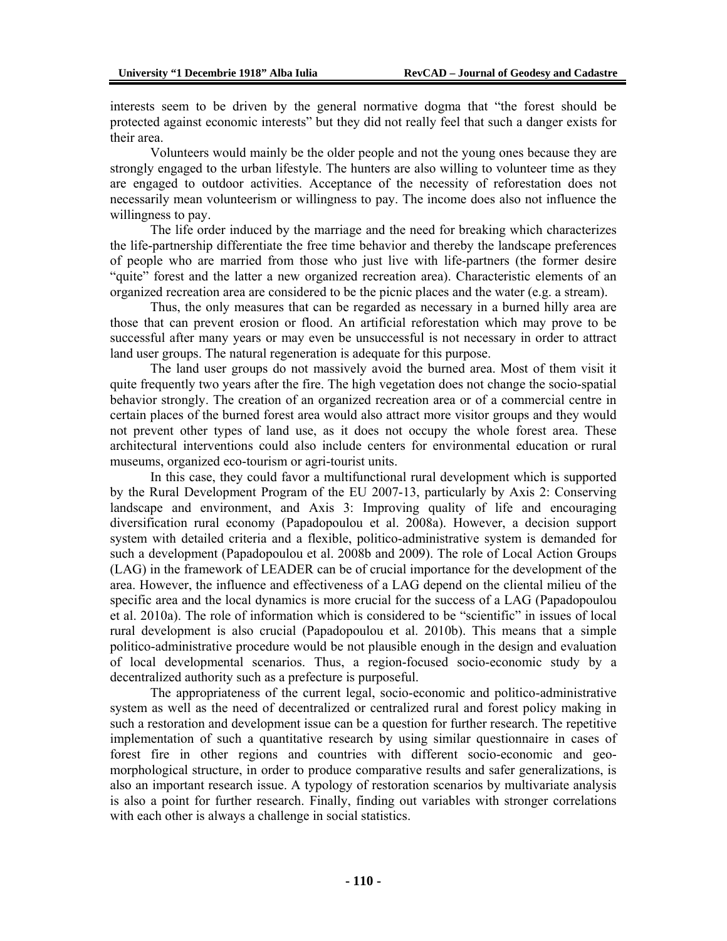interests seem to be driven by the general normative dogma that "the forest should be protected against economic interests" but they did not really feel that such a danger exists for their area.

Volunteers would mainly be the older people and not the young ones because they are strongly engaged to the urban lifestyle. The hunters are also willing to volunteer time as they are engaged to outdoor activities. Acceptance of the necessity of reforestation does not necessarily mean volunteerism or willingness to pay. The income does also not influence the willingness to pay.

The life order induced by the marriage and the need for breaking which characterizes the life-partnership differentiate the free time behavior and thereby the landscape preferences of people who are married from those who just live with life-partners (the former desire "quite" forest and the latter a new organized recreation area). Characteristic elements of an organized recreation area are considered to be the picnic places and the water (e.g. a stream).

Thus, the only measures that can be regarded as necessary in a burned hilly area are those that can prevent erosion or flood. An artificial reforestation which may prove to be successful after many years or may even be unsuccessful is not necessary in order to attract land user groups. The natural regeneration is adequate for this purpose.

The land user groups do not massively avoid the burned area. Most of them visit it quite frequently two years after the fire. The high vegetation does not change the socio-spatial behavior strongly. The creation of an organized recreation area or of a commercial centre in certain places of the burned forest area would also attract more visitor groups and they would not prevent other types of land use, as it does not occupy the whole forest area. These architectural interventions could also include centers for environmental education or rural museums, organized eco-tourism or agri-tourist units.

In this case, they could favor a multifunctional rural development which is supported by the Rural Development Program of the EU 2007-13, particularly by Axis 2: Conserving landscape and environment, and Axis 3: Improving quality of life and encouraging diversification rural economy (Papadopoulou et al. 2008a). However, a decision support system with detailed criteria and a flexible, politico-administrative system is demanded for such a development (Papadopoulou et al. 2008b and 2009). The role of Local Action Groups (LAG) in the framework of LEADER can be of crucial importance for the development of the area. However, the influence and effectiveness of a LAG depend on the cliental milieu of the specific area and the local dynamics is more crucial for the success of a LAG (Papadopoulou et al. 2010a). The role of information which is considered to be "scientific" in issues of local rural development is also crucial (Papadopoulou et al. 2010b). This means that a simple politico-administrative procedure would be not plausible enough in the design and evaluation of local developmental scenarios. Thus, a region-focused socio-economic study by a decentralized authority such as a prefecture is purposeful.

The appropriateness of the current legal, socio-economic and politico-administrative system as well as the need of decentralized or centralized rural and forest policy making in such a restoration and development issue can be a question for further research. The repetitive implementation of such a quantitative research by using similar questionnaire in cases of forest fire in other regions and countries with different socio-economic and geomorphological structure, in order to produce comparative results and safer generalizations, is also an important research issue. A typology of restoration scenarios by multivariate analysis is also a point for further research. Finally, finding out variables with stronger correlations with each other is always a challenge in social statistics.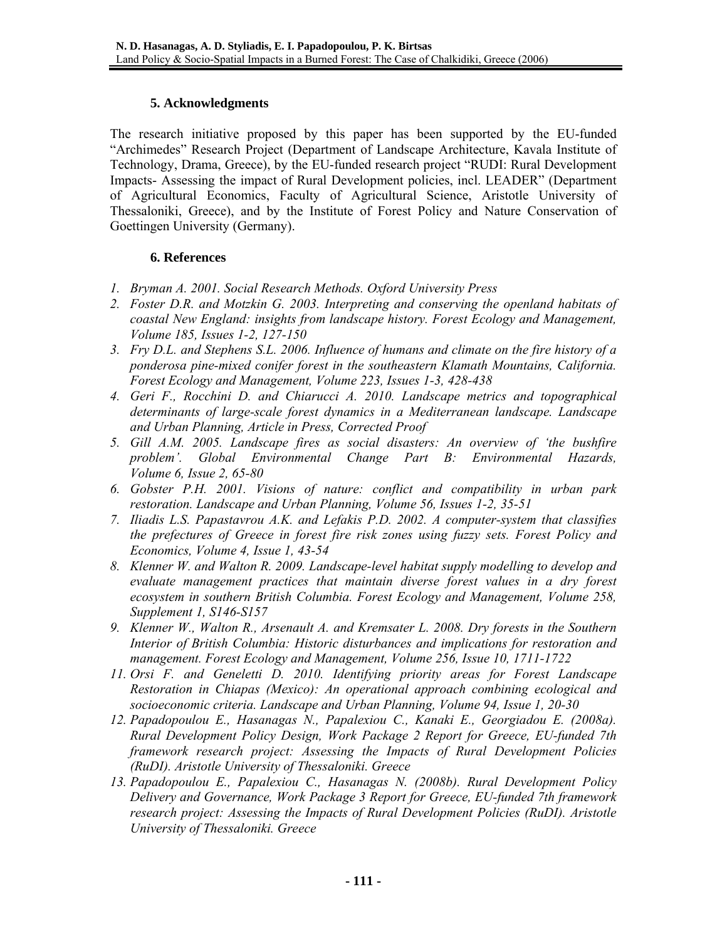# **5. Acknowledgments**

The research initiative proposed by this paper has been supported by the EU-funded "Archimedes" Research Project (Department of Landscape Architecture, Kavala Institute of Technology, Drama, Greece), by the EU-funded research project "RUDI: Rural Development Impacts- Assessing the impact of Rural Development policies, incl. LEADER" (Department of Agricultural Economics, Faculty of Agricultural Science, Aristotle University of Thessaloniki, Greece), and by the Institute of Forest Policy and Nature Conservation of Goettingen University (Germany).

### **6. References**

- *1. Bryman A. 2001. Social Research Methods. Oxford University Press*
- *2. Foster D.R. and Motzkin G. 2003. Interpreting and conserving the openland habitats of coastal New England: insights from landscape history. Forest Ecology and Management, Volume 185, Issues 1-2, 127-150*
- *3. Fry D.L. and Stephens S.L. 2006. Influence of humans and climate on the fire history of a ponderosa pine-mixed conifer forest in the southeastern Klamath Mountains, California. Forest Ecology and Management, Volume 223, Issues 1-3, 428-438*
- *4. Geri F., Rocchini D. and Chiarucci A. 2010. Landscape metrics and topographical determinants of large-scale forest dynamics in a Mediterranean landscape. Landscape and Urban Planning, Article in Press, Corrected Proof*
- *5. Gill A.M. 2005. Landscape fires as social disasters: An overview of 'the bushfire problem'. Global Environmental Change Part B: Environmental Hazards, Volume 6, Issue 2, 65-80*
- *6. Gobster P.H. 2001. Visions of nature: conflict and compatibility in urban park restoration. Landscape and Urban Planning, Volume 56, Issues 1-2, 35-51*
- *7. Iliadis L.S. Papastavrou A.K. and Lefakis P.D. 2002. A computer-system that classifies the prefectures of Greece in forest fire risk zones using fuzzy sets. Forest Policy and Economics, Volume 4, Issue 1, 43-54*
- *8. Klenner W. and Walton R. 2009. Landscape-level habitat supply modelling to develop and evaluate management practices that maintain diverse forest values in a dry forest ecosystem in southern British Columbia. Forest Ecology and Management, Volume 258, Supplement 1, S146-S157*
- *9. Klenner W., Walton R., Arsenault A. and Kremsater L. 2008. Dry forests in the Southern Interior of British Columbia: Historic disturbances and implications for restoration and management. Forest Ecology and Management, Volume 256, Issue 10, 1711-1722*
- *11. Orsi F. and Geneletti D. 2010. Identifying priority areas for Forest Landscape Restoration in Chiapas (Mexico): An operational approach combining ecological and socioeconomic criteria. Landscape and Urban Planning, Volume 94, Issue 1, 20-30*
- *12. Papadopoulou E., Hasanagas N., Papalexiou C., Kanaki E., Georgiadou E. (2008a). Rural Development Policy Design, Work Package 2 Report for Greece, EU-funded 7th framework research project: Assessing the Impacts of Rural Development Policies (RuDI). Aristotle University of Thessaloniki. Greece*
- *13. Papadopoulou E., Papalexiou C., Hasanagas N. (2008b). Rural Development Policy Delivery and Governance, Work Package 3 Report for Greece, EU-funded 7th framework research project: Assessing the Impacts of Rural Development Policies (RuDI). Aristotle University of Thessaloniki. Greece*